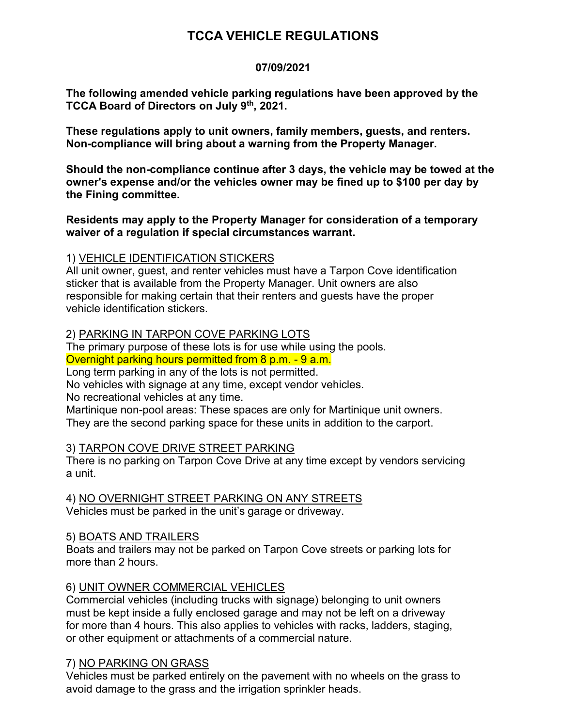# **TCCA VEHICLE REGULATIONS**

#### **07/09/2021**

**The following amended vehicle parking regulations have been approved by the TCCA Board of Directors on July 9th, 2021.**

**These regulations apply to unit owners, family members, guests, and renters. Non-compliance will bring about a warning from the Property Manager.**

**Should the non-compliance continue after 3 days, the vehicle may be towed at the owner's expense and/or the vehicles owner may be fined up to \$100 per day by the Fining committee.**

#### **Residents may apply to the Property Manager for consideration of a temporary waiver of a regulation if special circumstances warrant.**

# 1) VEHICLE IDENTIFICATION STICKERS

All unit owner, guest, and renter vehicles must have a Tarpon Cove identification sticker that is available from the Property Manager. Unit owners are also responsible for making certain that their renters and guests have the proper vehicle identification stickers.

#### 2) PARKING IN TARPON COVE PARKING LOTS

The primary purpose of these lots is for use while using the pools. Overnight parking hours permitted from 8 p.m. - 9 a.m.

Long term parking in any of the lots is not permitted.

No vehicles with signage at any time, except vendor vehicles.

No recreational vehicles at any time.

Martinique non-pool areas: These spaces are only for Martinique unit owners. They are the second parking space for these units in addition to the carport.

# 3) TARPON COVE DRIVE STREET PARKING

There is no parking on Tarpon Cove Drive at any time except by vendors servicing a unit.

4) NO OVERNIGHT STREET PARKING ON ANY STREETS Vehicles must be parked in the unit's garage or driveway.

# 5) BOATS AND TRAILERS

Boats and trailers may not be parked on Tarpon Cove streets or parking lots for more than 2 hours.

# 6) UNIT OWNER COMMERCIAL VEHICLES

Commercial vehicles (including trucks with signage) belonging to unit owners must be kept inside a fully enclosed garage and may not be left on a driveway for more than 4 hours. This also applies to vehicles with racks, ladders, staging, or other equipment or attachments of a commercial nature.

# 7) NO PARKING ON GRASS

Vehicles must be parked entirely on the pavement with no wheels on the grass to avoid damage to the grass and the irrigation sprinkler heads.